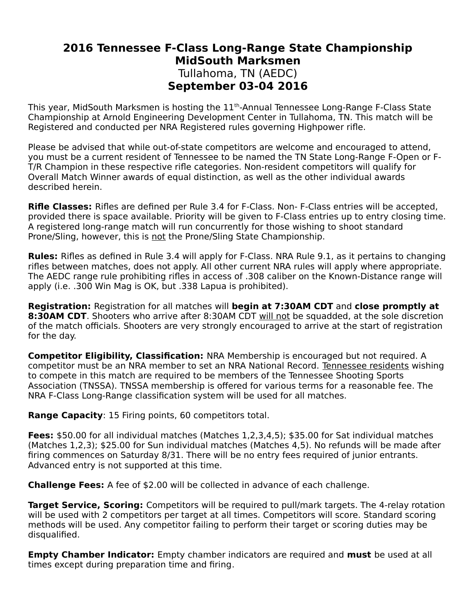## **2016 Tennessee F-Class Long-Range State Championship MidSouth Marksmen** Tullahoma, TN (AEDC) **September 03-04 2016**

This year, MidSouth Marksmen is hosting the 11<sup>th</sup>-Annual Tennessee Long-Range F-Class State Championship at Arnold Engineering Development Center in Tullahoma, TN. This match will be Registered and conducted per NRA Registered rules governing Highpower rifle.

Please be advised that while out-of-state competitors are welcome and encouraged to attend, you must be a current resident of Tennessee to be named the TN State Long-Range F-Open or F-T/R Champion in these respective rifle categories. Non-resident competitors will qualify for Overall Match Winner awards of equal distinction, as well as the other individual awards described herein.

**Rifle Classes:** Rifles are defined per Rule 3.4 for F-Class. Non- F-Class entries will be accepted, provided there is space available. Priority will be given to F-Class entries up to entry closing time. A registered long-range match will run concurrently for those wishing to shoot standard Prone/Sling, however, this is not the Prone/Sling State Championship.

**Rules:** Rifles as defined in Rule 3.4 will apply for F-Class. NRA Rule 9.1, as it pertains to changing rifles between matches, does not apply. All other current NRA rules will apply where appropriate. The AEDC range rule prohibiting rifles in access of .308 caliber on the Known-Distance range will apply (i.e. .300 Win Mag is OK, but .338 Lapua is prohibited).

**Registration:** Registration for all matches will **begin at 7:30AM CDT** and **close promptly at 8:30AM CDT**. Shooters who arrive after 8:30AM CDT will not be squadded, at the sole discretion of the match officials. Shooters are very strongly encouraged to arrive at the start of registration for the day.

**Competitor Eligibility, Classification:** NRA Membership is encouraged but not required. A competitor must be an NRA member to set an NRA National Record. Tennessee residents wishing to compete in this match are required to be members of the Tennessee Shooting Sports Association (TNSSA). TNSSA membership is offered for various terms for a reasonable fee. The NRA F-Class Long-Range classification system will be used for all matches.

**Range Capacity**: 15 Firing points, 60 competitors total.

**Fees:** \$50.00 for all individual matches (Matches 1,2,3,4,5); \$35.00 for Sat individual matches (Matches 1,2,3); \$25.00 for Sun individual matches (Matches 4,5). No refunds will be made after firing commences on Saturday 8/31. There will be no entry fees required of junior entrants. Advanced entry is not supported at this time.

**Challenge Fees:** A fee of \$2.00 will be collected in advance of each challenge.

**Target Service, Scoring:** Competitors will be required to pull/mark targets. The 4-relay rotation will be used with 2 competitors per target at all times. Competitors will score. Standard scoring methods will be used. Any competitor failing to perform their target or scoring duties may be disqualified.

**Empty Chamber Indicator:** Empty chamber indicators are required and **must** be used at all times except during preparation time and firing.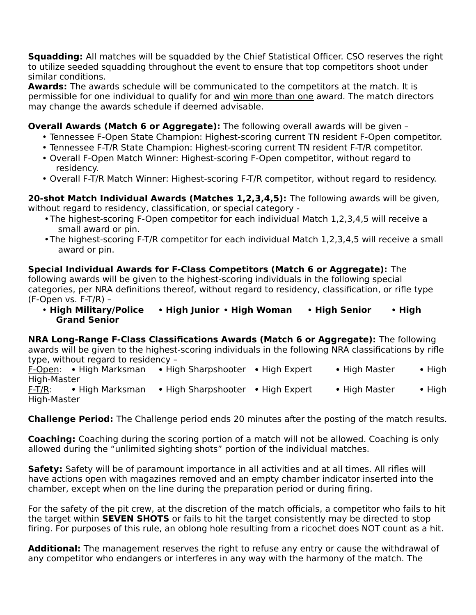**Squadding:** All matches will be squadded by the Chief Statistical Officer. CSO reserves the right to utilize seeded squadding throughout the event to ensure that top competitors shoot under similar conditions.

**Awards:** The awards schedule will be communicated to the competitors at the match. It is permissible for one individual to qualify for and win more than one award. The match directors may change the awards schedule if deemed advisable.

**Overall Awards (Match 6 or Aggregate):** The following overall awards will be given –

- Tennessee F-Open State Champion: Highest-scoring current TN resident F-Open competitor.
- Tennessee F-T/R State Champion: Highest-scoring current TN resident F-T/R competitor.
- Overall F-Open Match Winner: Highest-scoring F-Open competitor, without regard to residency.
- Overall F-T/R Match Winner: Highest-scoring F-T/R competitor, without regard to residency.

**20-shot Match Individual Awards (Matches 1,2,3,4,5):** The following awards will be given, without regard to residency, classification, or special category -

- The highest-scoring F-Open competitor for each individual Match 1,2,3,4,5 will receive a small award or pin.
- The highest-scoring F-T/R competitor for each individual Match 1,2,3,4,5 will receive a small award or pin.

**Special Individual Awards for F-Class Competitors (Match 6 or Aggregate):** The following awards will be given to the highest-scoring individuals in the following special categories, per NRA definitions thereof, without regard to residency, classification, or rifle type (F-Open vs. F-T/R) –

• **High Military/Police High Junior High Woman High Senior High Grand Senior**

**NRA Long-Range F-Class Classifications Awards (Match 6 or Aggregate):** The following awards will be given to the highest-scoring individuals in the following NRA classifications by rifle type, without regard to residency –

F-Open: • High Marksman • High Sharpshooter • High Expert • High Master • High High-Master

F-T/R: • High Marksman • High Sharpshooter • High Expert • High Master • High High-Master

**Challenge Period:** The Challenge period ends 20 minutes after the posting of the match results.

**Coaching:** Coaching during the scoring portion of a match will not be allowed. Coaching is only allowed during the "unlimited sighting shots" portion of the individual matches.

**Safety:** Safety will be of paramount importance in all activities and at all times. All rifles will have actions open with magazines removed and an empty chamber indicator inserted into the chamber, except when on the line during the preparation period or during firing.

For the safety of the pit crew, at the discretion of the match officials, a competitor who fails to hit the target within **SEVEN SHOTS** or fails to hit the target consistently may be directed to stop firing. For purposes of this rule, an oblong hole resulting from a ricochet does NOT count as a hit.

**Additional:** The management reserves the right to refuse any entry or cause the withdrawal of any competitor who endangers or interferes in any way with the harmony of the match. The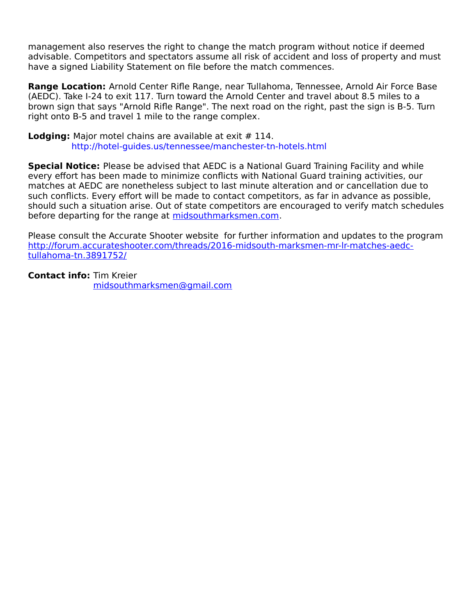management also reserves the right to change the match program without notice if deemed advisable. Competitors and spectators assume all risk of accident and loss of property and must have a signed Liability Statement on file before the match commences.

**Range Location:** Arnold Center Rifle Range, near Tullahoma, Tennessee, Arnold Air Force Base (AEDC). Take I-24 to exit 117. Turn toward the Arnold Center and travel about 8.5 miles to a brown sign that says "Arnold Rifle Range". The next road on the right, past the sign is B-5. Turn right onto B-5 and travel 1 mile to the range complex.

**Lodging:** Major motel chains are available at exit # 114. http://hotel-guides.us/tennessee/manchester-tn-hotels.html

**Special Notice:** Please be advised that AEDC is a National Guard Training Facility and while every effort has been made to minimize conflicts with National Guard training activities, our matches at AEDC are nonetheless subject to last minute alteration and or cancellation due to such conflicts. Every effort will be made to contact competitors, as far in advance as possible, should such a situation arise. Out of state competitors are encouraged to verify match schedules before departing for the range at [midsouthmarksmen.com.](http://midsouthmarksmen.com/)

Please consult the Accurate Shooter website for further information and updates to the program http://forum.accurateshooter.com/threads/2016-midsouth-marksmen-mr-lr-matches-aedctullahoma-tn.3891752/

**Contact info:** Tim Kreier [midsouthmarksmen@gmail.com](mailto:midsouthmarksmen@gmail.com)